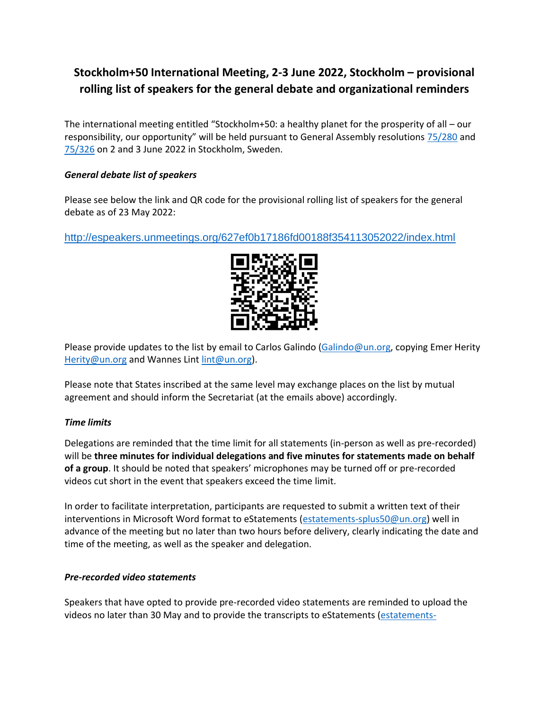# **Stockholm+50 International Meeting, 2-3 June 2022, Stockholm – provisional rolling list of speakers for the general debate and organizational reminders**

The international meeting entitled "Stockholm+50: a healthy planet for the prosperity of all – our responsibility, our opportunity" will be held pursuant to General Assembly resolutions [75/280](https://undocs.org/A/RES/75/280) and [75/326](https://undocs.org/A/RES/75/326) on 2 and 3 June 2022 in Stockholm, Sweden.

### *General debate list of speakers*

Please see below the link and QR code for the provisional rolling list of speakers for the general debate as of 23 May 2022:

<http://espeakers.unmeetings.org/627ef0b17186fd00188f354113052022/index.html>



Please provide updates to the list by email to Carlos Galindo [\(Galindo@un.org,](mailto:Galindo@un.org) copying Emer Herity [Herity@un.org](mailto:Herity@un.org) and Wannes Lin[t lint@un.org\)](mailto:lint@un.org).

Please note that States inscribed at the same level may exchange places on the list by mutual agreement and should inform the Secretariat (at the emails above) accordingly.

### *Time limits*

Delegations are reminded that the time limit for all statements (in-person as well as pre-recorded) will be **three minutes for individual delegations and five minutes for statements made on behalf of a group**. It should be noted that speakers' microphones may be turned off or pre-recorded videos cut short in the event that speakers exceed the time limit.

In order to facilitate interpretation, participants are requested to submit a written text of their interventions in Microsoft Word format to eStatements [\(estatements-splus50@un.org\)](mailto:estatements-splus50@un.org) well in advance of the meeting but no later than two hours before delivery, clearly indicating the date and time of the meeting, as well as the speaker and delegation.

### *Pre-recorded video statements*

Speakers that have opted to provide pre-recorded video statements are reminded to upload the videos no later than 30 May and to provide the transcripts to eStatements [\(estatements-](mailto:estatements-splus50@un.org)